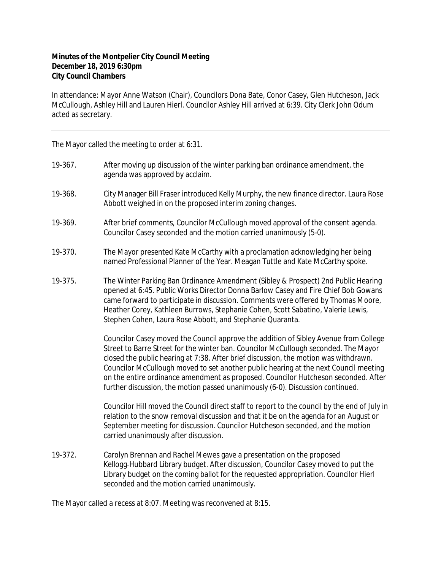## **Minutes of the Montpelier City Council Meeting December 18, 2019 6:30pm City Council Chambers**

In attendance: Mayor Anne Watson (Chair), Councilors Dona Bate, Conor Casey, Glen Hutcheson, Jack McCullough, Ashley Hill and Lauren Hierl. Councilor Ashley Hill arrived at 6:39. City Clerk John Odum acted as secretary.

The Mayor called the meeting to order at 6:31.

- 19‐367. After moving up discussion of the winter parking ban ordinance amendment, the agenda was approved by acclaim.
- 19‐368. City Manager Bill Fraser introduced Kelly Murphy, the new finance director. Laura Rose Abbott weighed in on the proposed interim zoning changes.
- 19‐369. After brief comments, Councilor McCullough moved approval of the consent agenda. Councilor Casey seconded and the motion carried unanimously (5-0).
- 19‐370. The Mayor presented Kate McCarthy with a proclamation acknowledging her being named Professional Planner of the Year. Meagan Tuttle and Kate McCarthy spoke.
- 19‐375. The Winter Parking Ban Ordinance Amendment (Sibley & Prospect) 2nd Public Hearing opened at 6:45. Public Works Director Donna Barlow Casey and Fire Chief Bob Gowans came forward to participate in discussion. Comments were offered by Thomas Moore, Heather Corey, Kathleen Burrows, Stephanie Cohen, Scott Sabatino, Valerie Lewis, Stephen Cohen, Laura Rose Abbott, and Stephanie Quaranta.

Councilor Casey moved the Council approve the addition of Sibley Avenue from College Street to Barre Street for the winter ban. Councilor McCullough seconded. The Mayor closed the public hearing at 7:38. After brief discussion, the motion was withdrawn. Councilor McCullough moved to set another public hearing at the next Council meeting on the entire ordinance amendment as proposed. Councilor Hutcheson seconded. After further discussion, the motion passed unanimously (6-0). Discussion continued.

Councilor Hill moved the Council direct staff to report to the council by the end of July in relation to the snow removal discussion and that it be on the agenda for an August or September meeting for discussion. Councilor Hutcheson seconded, and the motion carried unanimously after discussion.

19‐372. Carolyn Brennan and Rachel Mewes gave a presentation on the proposed Kellogg‐Hubbard Library budget. After discussion, Councilor Casey moved to put the Library budget on the coming ballot for the requested appropriation. Councilor Hierl seconded and the motion carried unanimously.

The Mayor called a recess at 8:07. Meeting was reconvened at 8:15.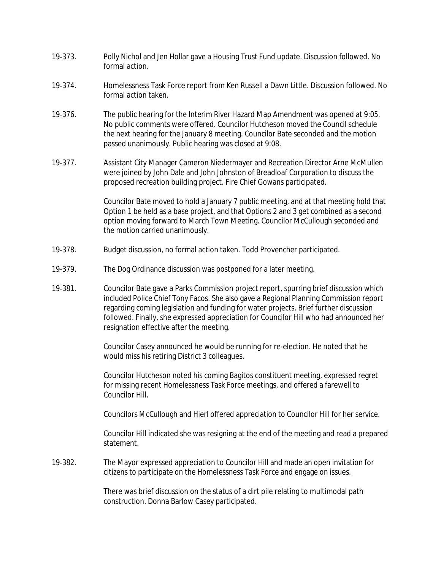- 19‐373. Polly Nichol and Jen Hollar gave a Housing Trust Fund update. Discussion followed. No formal action.
- 19‐374. Homelessness Task Force report from Ken Russell a Dawn Little. Discussion followed. No formal action taken.
- 19‐376. The public hearing for the Interim River Hazard Map Amendment was opened at 9:05. No public comments were offered. Councilor Hutcheson moved the Council schedule the next hearing for the January 8 meeting. Councilor Bate seconded and the motion passed unanimously. Public hearing was closed at 9:08.
- 19-377. Assistant City Manager Cameron Niedermayer and Recreation Director Arne McMullen were joined by John Dale and John Johnston of Breadloaf Corporation to discuss the proposed recreation building project. Fire Chief Gowans participated.

Councilor Bate moved to hold a January 7 public meeting, and at that meeting hold that Option 1 be held as a base project, and that Options 2 and 3 get combined as a second option moving forward to March Town Meeting. Councilor McCullough seconded and the motion carried unanimously.

- 19‐378. Budget discussion, no formal action taken. Todd Provencher participated.
- 19‐379. The Dog Ordinance discussion was postponed for a later meeting.
- 19‐381. Councilor Bate gave a Parks Commission project report, spurring brief discussion which included Police Chief Tony Facos. She also gave a Regional Planning Commission report regarding coming legislation and funding for water projects. Brief further discussion followed. Finally, she expressed appreciation for Councilor Hill who had announced her resignation effective after the meeting.

Councilor Casey announced he would be running for re-election. He noted that he would miss his retiring District 3 colleagues.

Councilor Hutcheson noted his coming Bagitos constituent meeting, expressed regret for missing recent Homelessness Task Force meetings, and offered a farewell to Councilor Hill.

Councilors McCullough and Hierl offered appreciation to Councilor Hill for her service.

Councilor Hill indicated she was resigning at the end of the meeting and read a prepared statement.

19‐382. The Mayor expressed appreciation to Councilor Hill and made an open invitation for citizens to participate on the Homelessness Task Force and engage on issues.

> There was brief discussion on the status of a dirt pile relating to multimodal path construction. Donna Barlow Casey participated.